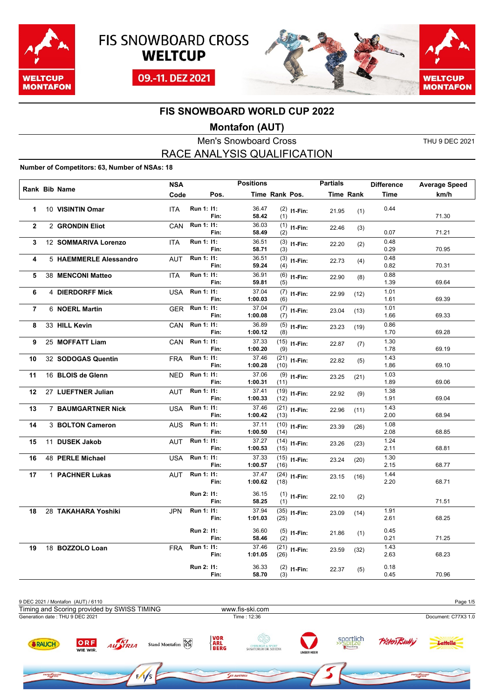





### **Montafon (AUT)**

Men's Snowboard Cross THU 9 DEC 2021 RACE ANALYSIS QUALIFICATION

#### **Number of Competitors: 63, Number of NSAs: 18**

| Rank Bib Name  |                           | <b>NSA</b> |            |      | <b>Positions</b> |                |                | <b>Partials</b> |           | <b>Difference</b> | <b>Average Speed</b> |
|----------------|---------------------------|------------|------------|------|------------------|----------------|----------------|-----------------|-----------|-------------------|----------------------|
|                |                           | Code       |            | Pos. |                  | Time Rank Pos. |                |                 | Time Rank | <b>Time</b>       | km/h                 |
| 1              | 10 VISINTIN Omar          | <b>ITA</b> | Run 1: 11: | Fin: | 36.47<br>58.42   | (1)            | $(2)$ 11-Fin:  | 21.95           | (1)       | 0.44              | 71.30                |
| $\overline{2}$ | 2 GRONDIN Eliot           | CAN        | Run 1: 11: | Fin: | 36.03<br>58.49   | (2)            | $(1)$ 11-Fin:  | 22.46           | (3)       | 0.07              | 71.21                |
| 3              | 12 SOMMARIVA Lorenzo      | <b>ITA</b> | Run 1: 11: | Fin: | 36.51<br>58.71   | (3)            | $(3)$ 11-Fin:  | 22.20           | (2)       | 0.48<br>0.29      | 70.95                |
| 4              | 5 HAEMMERLE Alessandro    | <b>AUT</b> | Run 1: 11: | Fin: | 36.51<br>59.24   | (4)            | $(3)$ 11-Fin:  | 22.73           | (4)       | 0.48<br>0.82      | 70.31                |
| 5              | 38 MENCONI Matteo         | <b>ITA</b> | Run 1: 11: | Fin: | 36.91<br>59.81   | (5)            | $(6)$ 11-Fin:  | 22.90           | (8)       | 0.88<br>1.39      | 69.64                |
| 6              | 4 DIERDORFF Mick          | USA        | Run 1: 11: | Fin: | 37.04<br>1:00.03 | (6)            | $(7)$ 11-Fin:  | 22.99           | (12)      | 1.01<br>1.61      | 69.39                |
| $\overline{7}$ | 6 NOERL Martin            | <b>GER</b> | Run 1: 11: | Fin: | 37.04<br>1:00.08 | (7)            | $(7)$ 11-Fin:  | 23.04           | (13)      | 1.01<br>1.66      | 69.33                |
| 8              | 33 HILL Kevin             | CAN        | Run 1: 11: | Fin: | 36.89<br>1:00.12 | (8)            | $(5)$ 11-Fin:  | 23.23           | (19)      | 0.86<br>1.70      | 69.28                |
| 9              | 25 MOFFATT Liam           | CAN        | Run 1: 11: | Fin: | 37.33<br>1:00.20 | (9)            | $(15)$ 11-Fin: | 22.87           | (7)       | 1.30<br>1.78      | 69.19                |
| 10             | 32 SODOGAS Quentin        | <b>FRA</b> | Run 1: 11: | Fin: | 37.46<br>1:00.28 | (10)           | $(21)$ 11-Fin: | 22.82           | (5)       | 1.43<br>1.86      | 69.10                |
| 11             | 16 BLOIS de Glenn         | NED        | Run 1: 11: | Fin: | 37.06<br>1:00.31 | (11)           | $(9)$ 11-Fin:  | 23.25           | (21)      | 1.03<br>1.89      | 69.06                |
| 12             | 27 LUEFTNER Julian        | AUT        | Run 1: 11: | Fin: | 37.41<br>1:00.33 | (12)           | $(19)$ 11-Fin: | 22.92           | (9)       | 1.38<br>1.91      | 69.04                |
| 13             | <b>7 BAUMGARTNER Nick</b> | USA        | Run 1: 11: | Fin: | 37.46<br>1:00.42 | (13)           | $(21)$ 11-Fin: | 22.96           | (11)      | 1.43<br>2.00      | 68.94                |
| 14             | 3 BOLTON Cameron          | AUS        | Run 1: 11: | Fin: | 37.11<br>1:00.50 | (14)           | $(10)$ 11-Fin: | 23.39           | (26)      | 1.08<br>2.08      | 68.85                |
| 15             | 11 DUSEK Jakob            | <b>AUT</b> | Run 1: 11: | Fin: | 37.27<br>1:00.53 | (15)           | $(14)$ 11-Fin: | 23.26           | (23)      | 1.24<br>2.11      | 68.81                |
| 16             | 48 PERLE Michael          | USA        | Run 1: 11: | Fin: | 37.33<br>1:00.57 | (16)           | $(15)$ 11-Fin: | 23.24           | (20)      | 1.30<br>2.15      | 68.77                |
| 17             | 1 PACHNER Lukas           | <b>AUT</b> | Run 1: 11: | Fin: | 37.47<br>1:00.62 | (18)           | $(24)$ 11-Fin: | 23.15           | (16)      | 1.44<br>2.20      | 68.71                |
|                |                           |            | Run 2: 11: | Fin: | 36.15<br>58.25   | (1)            | $(1)$ 11-Fin:  | 22.10           | (2)       |                   | 71.51                |
| 18             | 28 TAKAHARA Yoshiki       | <b>JPN</b> | Run 1: 11: | Fin: | 37.94<br>1:01.03 | (25)           | $(35)$ 11-Fin: | 23.09           | (14)      | 1.91<br>2.61      | 68.25                |
|                |                           |            | Run 2: 11: | Fin: | 36.60<br>58.46   | (2)            | $(5)$ 11-Fin:  | 21.86           | (1)       | 0.45<br>0.21      | 71.25                |
| 19             | 18 BOZZOLO Loan           | <b>FRA</b> | Run 1: 11: | Fin: | 37.46<br>1:01.05 | (26)           | $(21)$ 11-Fin: | 23.59           | (32)      | 1.43<br>2.63      | 68.23                |
|                |                           |            | Run 2: 11: | Fin: | 36.33<br>58.70   | (3)            | $(2)$ 11-Fin:  | 22.37           | (5)       | 0.18<br>0.45      | 70.96                |

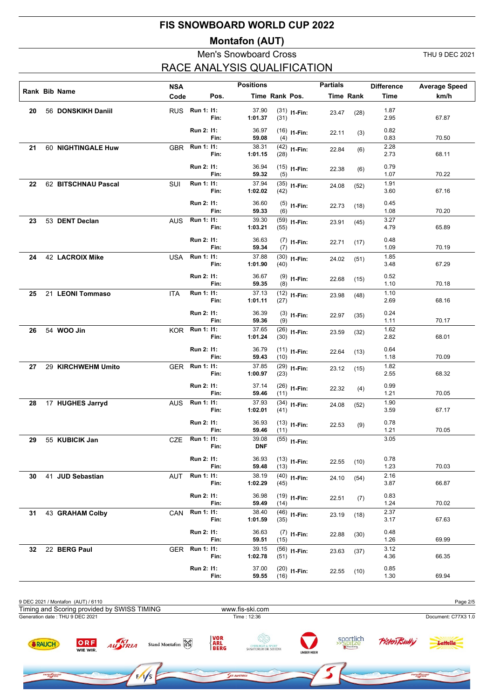#### **Montafon (AUT)**

### Men's Snowboard Cross THU 9 DEC 2021 RACE ANALYSIS QUALIFICATION

**SVOW** ROAR

|    |                     | <b>NSA</b>     |            |      | <b>Positions</b> |                |                | <b>Partials</b> |                  | <b>Difference</b> | <b>Average Speed</b> |
|----|---------------------|----------------|------------|------|------------------|----------------|----------------|-----------------|------------------|-------------------|----------------------|
|    | Rank Bib Name       | Code           |            | Pos. |                  | Time Rank Pos. |                |                 | <b>Time Rank</b> | Time              | km/h                 |
| 20 | 56 DONSKIKH Daniil  | RUS Run 1: 11: |            | Fin: | 37.90<br>1:01.37 | (31)           | $(31)$ I1-Fin: | 23.47           | (28)             | 1.87<br>2.95      | 67.87                |
|    |                     |                | Run 2: 11: | Fin: | 36.97<br>59.08   | (4)            | $(16)$ 11-Fin: | 22.11           | (3)              | 0.82<br>0.83      | 70.50                |
| 21 | 60 NIGHTINGALE Huw  |                |            | Fin: | 38.31<br>1:01.15 | (28)           | $(42)$ 11-Fin: | 22.84           | (6)              | 2.28<br>2.73      | 68.11                |
|    |                     |                | Run 2: 11: | Fin: | 36.94<br>59.32   | (5)            | $(15)$ 11-Fin: | 22.38           | (6)              | 0.79<br>1.07      | 70.22                |
| 22 | 62 BITSCHNAU Pascal | SUI            | Run 1: 11: | Fin: | 37.94<br>1:02.02 | (42)           | $(35)$ 11-Fin: | 24.08           | (52)             | 1.91<br>3.60      | 67.16                |
|    |                     |                | Run 2: 11: | Fin: | 36.60<br>59.33   | (6)            | $(5)$ 11-Fin:  | 22.73           | (18)             | 0.45<br>1.08      | 70.20                |
| 23 | 53 DENT Declan      | <b>AUS</b>     | Run 1: 11: | Fin: | 39.30<br>1:03.21 | (55)           | $(59)$ 11-Fin: | 23.91           | (45)             | 3.27<br>4.79      | 65.89                |
|    |                     |                | Run 2: 11: | Fin: | 36.63<br>59.34   | (7)            | $(7)$ 11-Fin:  | 22.71           | (17)             | 0.48<br>1.09      | 70.19                |
| 24 | 42 LACROIX Mike     | <b>USA</b>     | Run 1: 11: | Fin: | 37.88<br>1:01.90 | (40)           | $(30)$ 11-Fin: | 24.02           | (51)             | 1.85<br>3.48      | 67.29                |
|    |                     |                | Run 2: 11: | Fin: | 36.67<br>59.35   | (8)            | $(9)$ 11-Fin:  | 22.68           | (15)             | 0.52<br>1.10      | 70.18                |
| 25 | 21 LEONI Tommaso    | ITA            | Run 1: 11: | Fin: | 37.13<br>1:01.11 | (27)           | $(12)$ 11-Fin: | 23.98           | (48)             | 1.10<br>2.69      | 68.16                |
|    |                     |                | Run 2: 11: | Fin: | 36.39<br>59.36   | (9)            | $(3)$ 11-Fin:  | 22.97           | (35)             | 0.24<br>1.11      | 70.17                |
| 26 | 54 WOO Jin          | KOR Run 1: 11: |            | Fin: | 37.65<br>1:01.24 | (30)           | $(26)$ 11-Fin: | 23.59           | (32)             | 1.62<br>2.82      | 68.01                |
|    |                     |                | Run 2: 11: | Fin: | 36.79<br>59.43   | (10)           | $(11)$ I1-Fin: | 22.64           | (13)             | 0.64<br>1.18      | 70.09                |
| 27 | 29 KIRCHWEHM Umito  | GER            | Run 1: 11: | Fin: | 37.85<br>1:00.97 | (23)           | $(29)$ 11-Fin: | 23.12           | (15)             | 1.82<br>2.55      | 68.32                |
|    |                     |                | Run 2: 11: | Fin: | 37.14<br>59.46   | (11)           | $(26)$ 11-Fin: | 22.32           | (4)              | 0.99<br>1.21      | 70.05                |
| 28 | 17 HUGHES Jarryd    | <b>AUS</b>     | Run 1: 11: | Fin: | 37.93<br>1:02.01 | (41)           | $(34)$ 11-Fin: | 24.08           | (52)             | 1.90<br>3.59      | 67.17                |
|    |                     |                | Run 2: 11: | Fin: | 36.93<br>59.46   | (11)           | $(13)$ 11-Fin: | 22.53           | (9)              | 0.78<br>1.21      | 70.05                |
| 29 | 55 KUBICIK Jan      | CZE Run 1: 11: |            | Fin: | 39.08<br>DNF     |                | $(55)$ I1-Fin: |                 |                  | 3.05              |                      |
|    |                     |                | Run 2: 11: | Fin: | 36.93<br>59.48   | (13)           | $(13)$ 11-Fin: | 22.55           | (10)             | 0.78<br>1.23      | 70.03                |
| 30 | 41 JUD Sebastian    | AUT            | Run 1: 11: | Fin: | 38.19<br>1:02.29 | (45)           | $(40)$ 11-Fin: | 24.10           | (54)             | 2.16<br>3.87      | 66.87                |
|    |                     |                | Run 2: 11: | Fin: | 36.98<br>59.49   | (14)           | $(19)$ 11-Fin: | 22.51           | (7)              | 0.83<br>1.24      | 70.02                |
| 31 | 43 GRAHAM Colby     | CAN            | Run 1: 11: | Fin: | 38.40<br>1:01.59 | (35)           | $(46)$ 11-Fin: | 23.19           | (18)             | 2.37<br>3.17      | 67.63                |
|    |                     |                | Run 2: 11: | Fin: | 36.63<br>59.51   | (15)           | $(7)$ 11-Fin:  | 22.88           | (30)             | 0.48<br>1.26      | 69.99                |
| 32 | 22 BERG Paul        | GER            | Run 1: 11: | Fin: | 39.15<br>1:02.78 | (51)           | $(56)$ 11-Fin: | 23.63           | (37)             | 3.12<br>4.36      | 66.35                |
|    |                     |                | Run 2: 11: | Fin: | 37.00<br>59.55   | (16)           | $(20)$ 11-Fin: | 22.55           | (10)             | 0.85<br>1.30      | 69.94                |



 $\overline{\epsilon_{max}}$ 

row Google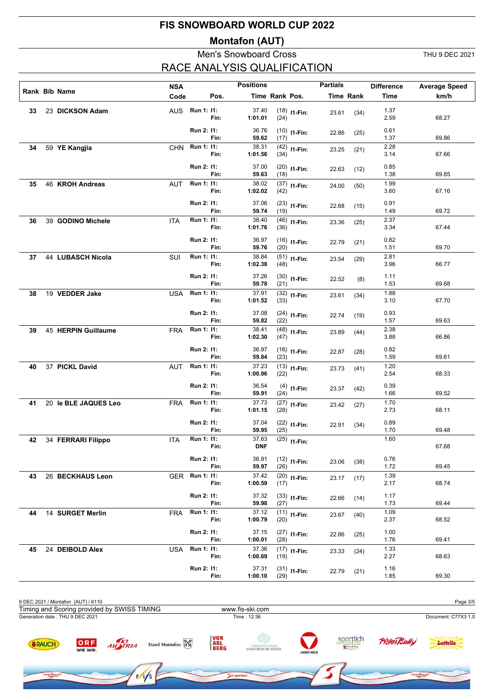#### **Montafon (AUT)**

#### Men's Snowboard Cross THU 9 DEC 2021 ACE ANALYSIS QUALIFICATION

|    |                       | <b>NSA</b> |                |      | <b>Positions</b>    |                |                | <b>Partials</b>  |      | <b>Difference</b>                 | <b>Average Speed</b> |
|----|-----------------------|------------|----------------|------|---------------------|----------------|----------------|------------------|------|-----------------------------------|----------------------|
|    | Rank Bib Name         | Code       |                | Pos. |                     | Time Rank Pos. |                | <b>Time Rank</b> |      | Time                              | km/h                 |
| 33 | 23 DICKSON Adam       |            | AUS Run 1: 11: | Fin: | 37.40<br>1:01.01    | (24)           | $(18)$ I1-Fin: | 23.61            | (34) | 1.37<br>2.59                      | 68.27                |
|    |                       |            | Run 2: 11:     | Fin: | 36.76<br>59.62      | (17)           | $(10)$ I1-Fin: | 22.86            | (25) | 0.61<br>1.37                      | 69.86                |
| 34 | 59 YE Kangjia         | <b>CHN</b> | Run 1: 11:     | Fin: | 38.31<br>1:01.56    | (34)           | $(42)$ 11-Fin: | 23.25            | (21) | 2.28<br>3.14                      | 67.66                |
|    |                       |            | Run 2: 11:     | Fin: | 37.00<br>59.63      | (18)           | $(20)$ 11-Fin: | 22.63            | (12) | 0.85<br>1.38                      | 69.85                |
| 35 | 46 KROH Andreas       | <b>AUT</b> | Run 1: 11:     | Fin: | 38.02<br>1:02.02    | (42)           | $(37)$ 11-Fin: | 24.00            | (50) | 1.99<br>3.60                      | 67.16                |
|    |                       |            | Run 2: 11:     | Fin: | 37.06<br>59.74      | (19)           | $(23)$ 11-Fin: | 22.68            | (15) | 0.91<br>1.49                      | 69.72                |
| 36 | 39 GODINO Michele     | <b>ITA</b> | Run 1: 11:     | Fin: | 38.40<br>1:01.76    | (36)           | $(46)$ 11-Fin: | 23.36            | (25) | 2.37<br>3.34                      | 67.44                |
|    |                       |            | Run 2: 11:     | Fin: | 36.97<br>59.76      | (20)           | $(16)$ 11-Fin: | 22.79            | (21) | 0.82<br>1.51                      | 69.70                |
| 37 | 44 LUBASCH Nicola     | <b>SUI</b> | Run 1: 11:     | Fin: | 38.84<br>1:02.38    | (48)           | $(51)$ I1-Fin: | 23.54            | (29) | 2.81<br>3.96                      | 66.77                |
|    |                       |            | Run 2: 11:     | Fin: | 37.26<br>59.78      | (21)           | $(30)$ 11-Fin: | 22.52            | (8)  | 1.11<br>1.53                      | 69.68                |
| 38 | 19 VEDDER Jake        | <b>USA</b> | Run 1: 11:     | Fin: | 37.91<br>1:01.52    | (33)           | $(32)$ 11-Fin: | 23.61            | (34) | 1.88<br>3.10                      | 67.70                |
|    |                       |            | Run 2: 11:     | Fin: | 37.08<br>59.82      | (22)           | $(24)$ 11-Fin: | 22.74            | (19) | 0.93<br>1.57                      | 69.63                |
| 39 | 45 HERPIN Guillaume   | <b>FRA</b> | Run 1: 11:     | Fin: | 38.41<br>1:02.30    | (47)           | $(48)$ 11-Fin: | 23.89            | (44) | 2.38<br>3.88                      | 66.86                |
|    |                       |            | Run 2: 11:     | Fin: | 36.97<br>59.84      | (23)           | $(16)$ 11-Fin: | 22.87            | (28) | 0.82<br>1.59                      | 69.61                |
| 40 | 37 PICKL David        | <b>AUT</b> | Run 1: 11:     | Fin: | 37.23<br>1:00.96    | (22)           | $(13)$ 11-Fin: | 23.73            | (41) | 1.20<br>2.54                      | 68.33                |
|    |                       |            | Run 2: 11:     | Fin: | 36.54<br>59.91      | (24)           | $(4)$ 11-Fin:  | 23.37            | (42) | 0.39<br>1.66                      | 69.52                |
| 41 | 20 le BLE JAQUES Leo  | <b>FRA</b> | Run 1: 11:     | Fin: | 37.73<br>1:01.15    | (28)           | $(27)$ 11-Fin: | 23.42            | (27) | 1.70<br>2.73                      | 68.11                |
|    |                       |            | Run 2: 11:     | Fin: | 37.04<br>59.95      | (25)           | $(22)$ 11-Fin: | 22.91            | (34) | 0.89<br>1.70<br>$\overline{1.60}$ | 69.48                |
|    | 42 34 FERRARI Filippo | <b>ITA</b> | Run 1: 11:     | Fin: | 37.63<br><b>DNF</b> |                | $(25)$ I1-Fin: |                  |      |                                   | 67.68                |
|    |                       |            | Run 2: 11:     | Fin: | 36.91<br>59.97      | (26)           | $(12)$ 11-Fin: | 23.06            | (38) | 0.76<br>1.72                      | 69.45                |
| 43 | 26 BECKHAUS Leon      | GER        | Run 1: 11:     | Fin: | 37.42<br>1:00.59    | (17)           | $(20)$ 11-Fin: | 23.17            | (17) | 1.39<br>2.17                      | 68.74                |
|    |                       |            | Run 2: 11:     | Fin: | 37.32<br>59.98      | (27)           | $(33)$ 11-Fin: | 22.66            | (14) | 1.17<br>1.73                      | 69.44                |
| 44 | 14 SURGET Merlin      | <b>FRA</b> | Run 1: 11:     | Fin: | 37.12<br>1:00.79    | (20)           | $(11)$ I1-Fin: | 23.67            | (40) | 1.09<br>2.37                      | 68.52                |
|    |                       |            | Run 2: 11:     | Fin: | 37.15<br>1:00.01    | (28)           | $(27)$ 11-Fin: | 22.86            | (25) | 1.00<br>1.76                      | 69.41                |
| 45 | 24 DEIBOLD Alex       | USA        | Run 1: 11:     | Fin: | 37.36<br>1:00.69    | (19)           | $(17)$ I1-Fin: | 23.33            | (24) | 1.33<br>2.27                      | 68.63                |
|    |                       |            | Run 2: 11:     | Fin: | 37.31<br>1:00.10    | (29)           | $(31)$ 11-Fin: | 22.79            | (21) | 1.16<br>1.85                      | 69.30                |

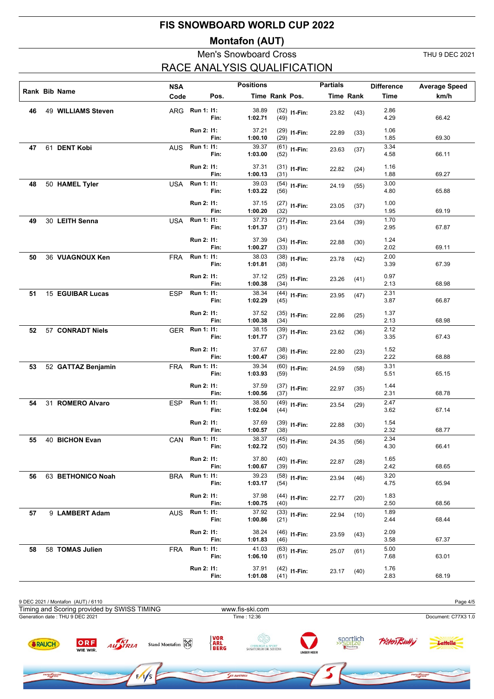### **Montafon (AUT)**

### Men's Snowboard Cross THU 9 DEC 2021 RACE ANALYSIS QUALIFICATION

svow noap

|    |                    | <b>NSA</b>     |                          |      | <b>Positions</b>          |                |                | <b>Partials</b> |           | <b>Difference</b>    | <b>Average Speed</b> |
|----|--------------------|----------------|--------------------------|------|---------------------------|----------------|----------------|-----------------|-----------|----------------------|----------------------|
|    | Rank Bib Name      | Code           |                          | Pos. |                           | Time Rank Pos. |                |                 | Time Rank | Time                 | km/h                 |
| 46 | 49 WILLIAMS Steven | ARG            | Run 1: 11:               | Fin: | 38.89<br>1:02.71          | (49)           | $(52)$ 11-Fin: | 23.82           | (43)      | 2.86<br>4.29         | 66.42                |
|    |                    |                | Run 2: 11:               | Fin: | 37.21<br>1:00.10          | (29)           | $(29)$ 11-Fin: | 22.89           | (33)      | 1.06<br>1.85         | 69.30                |
| 47 | 61 DENT Kobi       | <b>AUS</b>     | Run 1: 11:               | Fin: | 39.37<br>1:03.00          | (52)           | $(61)$ 11-Fin: | 23.63           | (37)      | 3.34<br>4.58         | 66.11                |
|    |                    |                | Run 2: 11:               | Fin: | 37.31<br>1:00.13          | (31)           | $(31)$ 11-Fin: | 22.82           | (24)      | 1.16<br>1.88         | 69.27                |
| 48 | 50 HAMEL Tyler     | <b>USA</b>     | Run 1: 11:               | Fin: | 39.03<br>1:03.22          | (56)           | $(54)$ 11-Fin: | 24.19           | (55)      | 3.00<br>4.80         | 65.88                |
|    |                    |                | Run 2: 11:               | Fin: | 37.15<br>1:00.20          | (32)           | $(27)$ 11-Fin: | 23.05           | (37)      | 1.00<br>1.95         | 69.19                |
| 49 | 30 LEITH Senna     | <b>USA</b>     | Run 1: 11:               | Fin: | 37.73<br>1:01.37          | (31)           | $(27)$ 11-Fin: | 23.64           | (39)      | 1.70<br>2.95         | 67.87                |
|    |                    |                | Run 2: 11:               | Fin: | 37.39<br>1:00.27          | (33)           | $(34)$ 11-Fin: | 22.88           | (30)      | 1.24<br>2.02         | 69.11                |
| 50 | 36 VUAGNOUX Ken    | <b>FRA</b>     | Run 1: 11:               | Fin: | 38.03<br>1:01.81          | (38)           | $(38)$ 11-Fin: | 23.78           | (42)      | 2.00<br>3.39         | 67.39                |
|    |                    |                | Run 2: 11:               | Fin: | 37.12<br>1:00.38          | (34)           | $(25)$ 11-Fin: | 23.26           | (41)      | 0.97<br>2.13         | 68.98                |
| 51 | 15 EGUIBAR Lucas   | <b>ESP</b>     | Run 1: 11:               | Fin: | 38.34<br>1:02.29          | (45)           | $(44)$ 11-Fin: | 23.95           | (47)      | 2.31<br>3.87         | 66.87                |
|    |                    |                | Run 2: 11:               | Fin: | 37.52<br>1:00.38          | (34)           | $(35)$ 11-Fin: | 22.86           | (25)      | 1.37<br>2.13         | 68.98                |
| 52 | 57 CONRADT Niels   | GER            | Run 1: 11:               | Fin: | 38.15<br>1:01.77          | (37)           | $(39)$ 11-Fin: | 23.62           | (36)      | 2.12<br>3.35         | 67.43                |
|    |                    |                | Run 2: 11:               | Fin: | 37.67<br>1:00.47          | (36)           | $(38)$ 11-Fin: | 22.80           | (23)      | 1.52<br>2.22         | 68.88                |
| 53 | 52 GATTAZ Benjamin | <b>FRA</b>     | Run 1: 11:               | Fin: | 39.34<br>1:03.93          | (59)           | $(60)$ 11-Fin: | 24.59           | (58)      | 3.31<br>5.51         | 65.15                |
|    |                    |                | Run 2: 11:               | Fin: | 37.59<br>1:00.56          | (37)           | $(37)$ 11-Fin: | 22.97           | (35)      | 1.44<br>2.31         | 68.78                |
| 54 | 31 ROMERO Alvaro   | <b>ESP</b>     | Run 1: 11:               | Fin: | 38.50<br>1:02.04          | (44)           | $(49)$ I1-Fin: | 23.54           | (29)      | 2.47<br>3.62         | 67.14                |
|    |                    |                | Run 2: 11:               | Fin: | 37.69<br>1:00.57<br>38.37 | (38)           | $(39)$ 11-Fin: | 22.88           | (30)      | 1.54<br>2.32<br>2.34 | 68.77                |
|    | 55 40 BICHON Evan  | CAN Run 1: 11: |                          | Fin: | 1:02.72                   | (50)           | $(45)$ 11-Fin: | 24.35           | (56)      | 4.30                 | 66.41                |
|    |                    |                | Run 2: 11:<br>Run 1: 11: | Fin: | 37.80<br>1:00.67<br>39.23 | (39)           | $(40)$ 11-Fin: | 22.87           | (28)      | 1.65<br>2.42<br>3.20 | 68.65                |
| 56 | 63 BETHONICO Noah  | BRA            |                          | Fin: | 1:03.17                   | (54)           | $(58)$ 11-Fin: | 23.94           | (46)      | 4.75                 | 65.94                |
|    |                    |                | Run 2: 11:               | Fin: | 37.98<br>1:00.75          | (40)           | $(44)$ 11-Fin: | 22.77           | (20)      | 1.83<br>2.50         | 68.56                |
| 57 | 9 LAMBERT Adam     | <b>AUS</b>     | Run 1: 11:               | Fin: | 37.92<br>1:00.86          | (21)           | $(33)$ 11-Fin: | 22.94           | (10)      | 1.89<br>2.44         | 68.44                |
|    |                    |                | Run 2: 11:<br>Run 1: 11: | Fin: | 38.24<br>1:01.83<br>41.03 | (46)           | $(46)$ 11-Fin: | 23.59           | (43)      | 2.09<br>3.58<br>5.00 | 67.37                |
| 58 | 58 TOMAS Julien    | FRA            |                          | Fin: | 1:06.10                   | (61)           | $(63)$ 11-Fin: | 25.07           | (61)      | 7.68                 | 63.01                |
|    |                    |                | Run 2: 11:               | Fin: | 37.91<br>1:01.08          | (41)           | $(42)$ 11-Fin: | 23.17           | (40)      | 1.76<br>2.83         | 68.19                |

| 9 DEC 2021 / Montafon (AUT) / 6110          |                 |         |                   |                                   |                                                       |                   |                        |                     | Page 4/5            |
|---------------------------------------------|-----------------|---------|-------------------|-----------------------------------|-------------------------------------------------------|-------------------|------------------------|---------------------|---------------------|
| Timing and Scoring provided by SWISS TIMING |                 |         |                   |                                   | www.fis-ski.com                                       |                   |                        |                     |                     |
| Generation date: THU 9 DEC 2021             |                 |         |                   |                                   | Time: 12:36                                           |                   |                        |                     | Document: C77X3 1.0 |
| <b>&amp;RAUCH</b>                           | ORF<br>WIE WIR. | AUSTRIA | Stand Montafon Ra | <b>VOR</b><br><b>ARL<br/>BERG</b> | <b>CHIRURGIE &amp; SPORT</b><br>SANATORIUM DR. SCHENK | <b>UNSER HEER</b> | sportlich<br>>> Spitze | <b>Pisten Bully</b> | Lattella            |
|                                             |                 |         |                   |                                   |                                                       |                   |                        |                     |                     |

 $1/1/s$